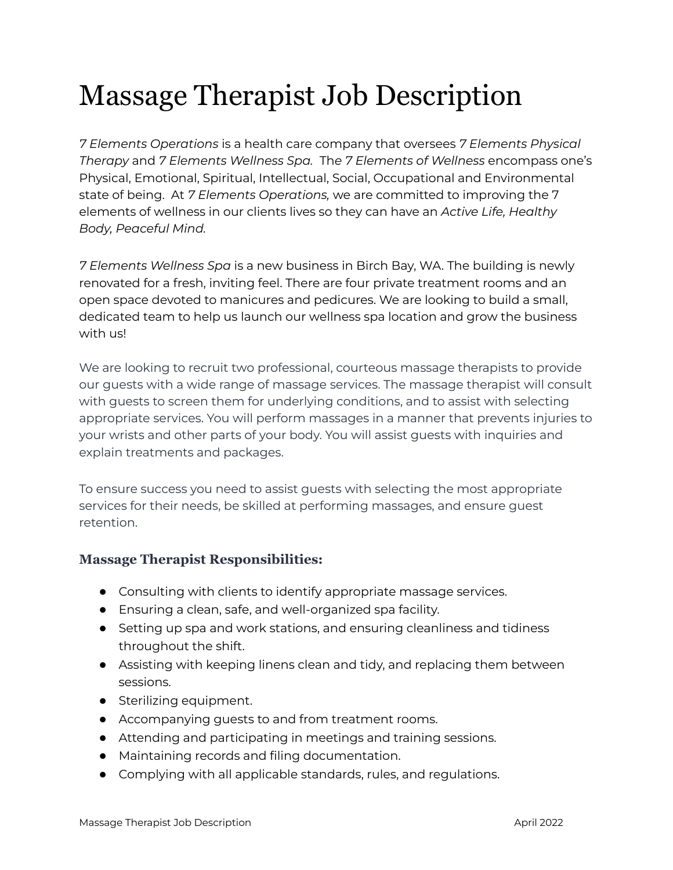# Massage Therapist Job Description

*7 Elements Operations* is a health care company that oversees *7 Elements Physical Therapy* and *7 Elements Wellness Spa.* Th*e 7 Elements of Wellness* encompass one's Physical, Emotional, Spiritual, Intellectual, Social, Occupational and Environmental state of being. At *7 Elements Operations,* we are committed to improving the 7 elements of wellness in our clients lives so they can have an *Active Life, Healthy Body, Peaceful Mind.*

*7 Elements Wellness Spa* is a new business in Birch Bay, WA. The building is newly renovated for a fresh, inviting feel. There are four private treatment rooms and an open space devoted to manicures and pedicures. We are looking to build a small, dedicated team to help us launch our wellness spa location and grow the business with us!

We are looking to recruit two professional, courteous massage therapists to provide our guests with a wide range of massage services. The massage therapist will consult with guests to screen them for underlying conditions, and to assist with selecting appropriate services. You will perform massages in a manner that prevents injuries to your wrists and other parts of your body. You will assist guests with inquiries and explain treatments and packages.

To ensure success you need to assist guests with selecting the most appropriate services for their needs, be skilled at performing massages, and ensure guest retention.

### **Massage Therapist Responsibilities:**

- Consulting with clients to identify appropriate massage services.
- Ensuring a clean, safe, and well-organized spa facility.
- Setting up spa and work stations, and ensuring cleanliness and tidiness throughout the shift.
- Assisting with keeping linens clean and tidy, and replacing them between sessions.
- Sterilizing equipment.
- Accompanying guests to and from treatment rooms.
- Attending and participating in meetings and training sessions.
- Maintaining records and filing documentation.
- Complying with all applicable standards, rules, and regulations.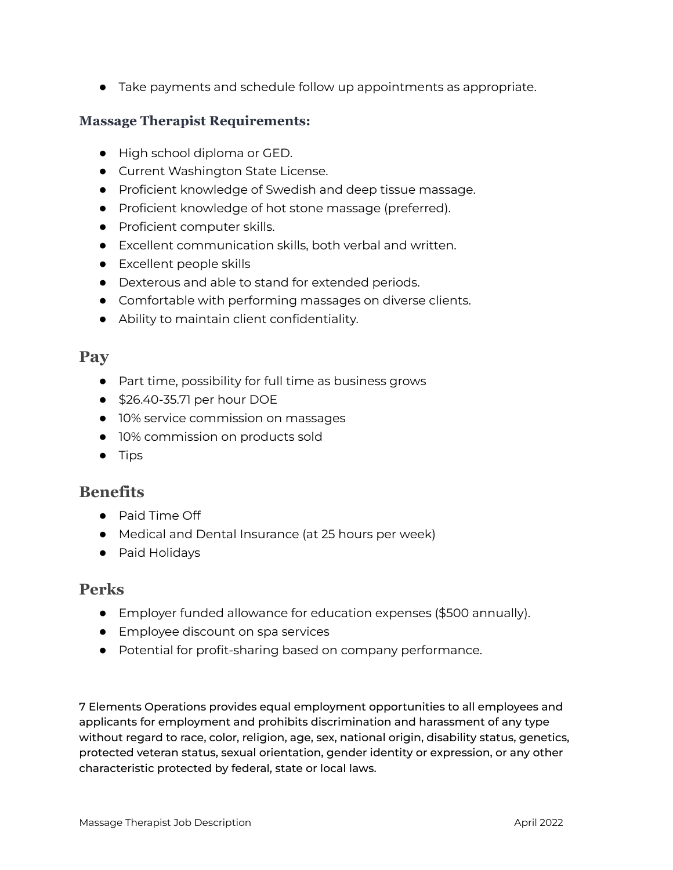● Take payments and schedule follow up appointments as appropriate.

#### **Massage Therapist Requirements:**

- High school diploma or GED.
- Current Washington State License.
- Proficient knowledge of Swedish and deep tissue massage.
- Proficient knowledge of hot stone massage (preferred).
- Proficient computer skills.
- Excellent communication skills, both verbal and written.
- Excellent people skills
- Dexterous and able to stand for extended periods.
- Comfortable with performing massages on diverse clients.
- Ability to maintain client confidentiality.

# **Pay**

- Part time, possibility for full time as business grows
- \$26.40-35.71 per hour DOE
- 10% service commission on massages
- 10% commission on products sold
- Tips

# **Benefits**

- Paid Time Off
- Medical and Dental Insurance (at 25 hours per week)
- Paid Holidays

### **Perks**

- Employer funded allowance for education expenses (\$500 annually).
- Employee discount on spa services
- Potential for profit-sharing based on company performance.

7 Elements Operations provides equal employment opportunities to all employees and applicants for employment and prohibits discrimination and harassment of any type without regard to race, color, religion, age, sex, national origin, disability status, genetics, protected veteran status, sexual orientation, gender identity or expression, or any other characteristic protected by federal, state or local laws.